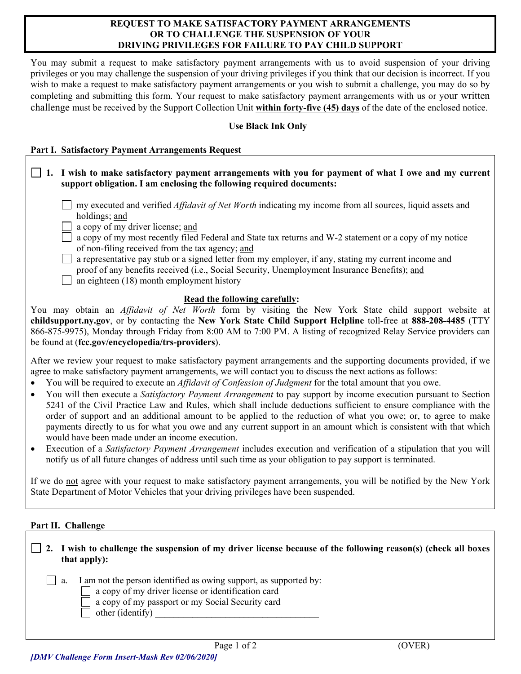## **REQUEST TO MAKE SATISFACTORY PAYMENT ARRANGEMENTS OR TO CHALLENGE THE SUSPENSION OF YOUR DRIVING PRIVILEGES FOR FAILURE TO PAY CHILD SUPPORT**

You may submit a request to make satisfactory payment arrangements with us to avoid suspension of your driving privileges or you may challenge the suspension of your driving privileges if you think that our decision is incorrect. If you wish to make a request to make satisfactory payment arrangements or you wish to submit a challenge, you may do so by completing and submitting this form. Your request to make satisfactory payment arrangements with us or your written challenge must be received by the Support Collection Unit **within forty-five (45) days** of the date of the enclosed notice.

## **Use Black Ink Only**

## **Part I. Satisfactory Payment Arrangements Request**

- **1. I wish to make satisfactory payment arrangements with you for payment of what I owe and my current support obligation. I am enclosing the following required documents:** my executed and verified *Affidavit of Net Worth* indicating my income from all sources, liquid assets and holdings; and a copy of my driver license; and a copy of my most recently filed Federal and State tax returns and W-2 statement or a copy of my notice of non-filing received from the tax agency; and  $\Box$  a representative pay stub or a signed letter from my employer, if any, stating my current income and proof of any benefits received (i.e., Social Security, Unemployment Insurance Benefits); and  $\Box$  an eighteen (18) month employment history **Read the following carefully:** You may obtain an *Affidavit of Net Worth* form by visiting the New York State child support website at **childsupport.ny.gov**, or by contacting the **New York State Child Support Helpline** toll-free at **888-208-4485** (TTY 866-875-9975), Monday through Friday from 8:00 AM to 7:00 PM. A listing of recognized Relay Service providers can be found at (**fcc.gov/encyclopedia/trs-providers**). After we review your request to make satisfactory payment arrangements and the supporting documents provided, if we agree to make satisfactory payment arrangements, we will contact you to discuss the next actions as follows:
- You will be required to execute an *Affidavit of Confession of Judgment* for the total amount that you owe.
- You will then execute a *Satisfactory Payment Arrangement* to pay support by income execution pursuant to Section 5241 of the Civil Practice Law and Rules, which shall include deductions sufficient to ensure compliance with the order of support and an additional amount to be applied to the reduction of what you owe; or, to agree to make payments directly to us for what you owe and any current support in an amount which is consistent with that which would have been made under an income execution.
- Execution of a *Satisfactory Payment Arrangement* includes execution and verification of a stipulation that you will notify us of all future changes of address until such time as your obligation to pay support is terminated.

If we do not agree with your request to make satisfactory payment arrangements, you will be notified by the New York State Department of Motor Vehicles that your driving privileges have been suspended.

## **Part II. Challenge**

| $\Box$ 2. I wish to challenge the suspension of my driver license because of the following reason(s) (check all boxes<br>that apply): |
|---------------------------------------------------------------------------------------------------------------------------------------|
| I am not the person identified as owing support, as supported by:<br>$\Box$ a.                                                        |
| $\Box$ a copy of my driver license or identification card                                                                             |
| a copy of my passport or my Social Security card                                                                                      |
| other (identify)                                                                                                                      |